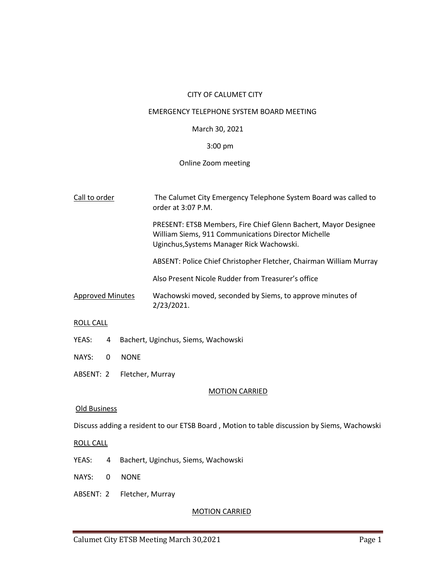## CITY OF CALUMET CITY

## EMERGENCY TELEPHONE SYSTEM BOARD MEETING

# March 30, 2021

## 3:00 pm

# Online Zoom meeting

| Call to order           | The Calumet City Emergency Telephone System Board was called to<br>order at 3:07 P.M.                                                                               |  |
|-------------------------|---------------------------------------------------------------------------------------------------------------------------------------------------------------------|--|
|                         | PRESENT: ETSB Members, Fire Chief Glenn Bachert, Mayor Designee<br>William Siems, 911 Communications Director Michelle<br>Uginchus, Systems Manager Rick Wachowski. |  |
|                         | ABSENT: Police Chief Christopher Fletcher, Chairman William Murray                                                                                                  |  |
|                         | Also Present Nicole Rudder from Treasurer's office                                                                                                                  |  |
| <b>Approved Minutes</b> | Wachowski moved, seconded by Siems, to approve minutes of<br>2/23/2021.                                                                                             |  |
| PQII                    |                                                                                                                                                                     |  |

### ROLL CALL

- YEAS: 4 Bachert, Uginchus, Siems, Wachowski
- NAYS: 0 NONE
- ABSENT: 2 Fletcher, Murray

## MOTION CARRIED

# Old Business

Discuss adding a resident to our ETSB Board , Motion to table discussion by Siems, Wachowski

## ROLL CALL

- YEAS: 4 Bachert, Uginchus, Siems, Wachowski
- NAYS: 0 NONE
- ABSENT: 2 Fletcher, Murray

# MOTION CARRIED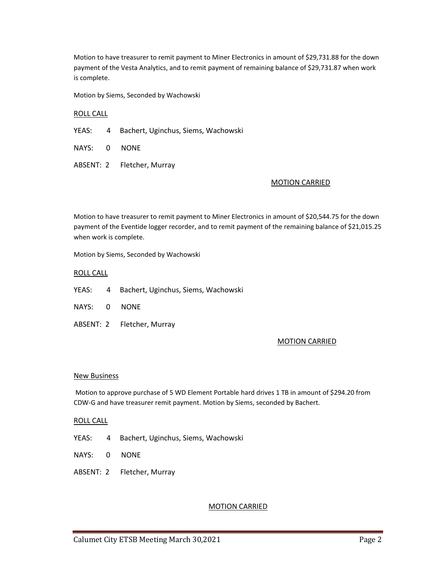Motion to have treasurer to remit payment to Miner Electronics in amount of \$29,731.88 for the down payment of the Vesta Analytics, and to remit payment of remaining balance of \$29,731.87 when work is complete.

Motion by Siems, Seconded by Wachowski

### ROLL CALL

YEAS: 4 Bachert, Uginchus, Siems, Wachowski

NAYS: 0 NONE

ABSENT: 2 Fletcher, Murray

#### MOTION CARRIED

Motion to have treasurer to remit payment to Miner Electronics in amount of \$20,544.75 for the down payment of the Eventide logger recorder, and to remit payment of the remaining balance of \$21,015.25 when work is complete.

Motion by Siems, Seconded by Wachowski

#### ROLL CALL

YEAS: 4 Bachert, Uginchus, Siems, Wachowski

NAYS: 0 NONE

ABSENT: 2 Fletcher, Murray

### MOTION CARRIED

#### New Business

Motion to approve purchase of 5 WD Element Portable hard drives 1 TB in amount of \$294.20 from CDW-G and have treasurer remit payment. Motion by Siems, seconded by Bachert.

#### ROLL CALL

- YEAS: 4 Bachert, Uginchus, Siems, Wachowski
- NAYS: 0 NONE
- ABSENT: 2 Fletcher, Murray

## MOTION CARRIED